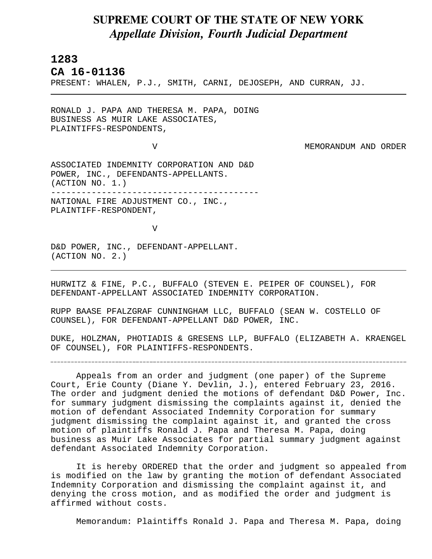## **SUPREME COURT OF THE STATE OF NEW YORK** *Appellate Division, Fourth Judicial Department*

## **1283**

L

**CA 16-01136** 

PRESENT: WHALEN, P.J., SMITH, CARNI, DEJOSEPH, AND CURRAN, JJ.

RONALD J. PAPA AND THERESA M. PAPA, DOING BUSINESS AS MUIR LAKE ASSOCIATES, PLAINTIFFS-RESPONDENTS,

V MEMORANDUM AND ORDER

ASSOCIATED INDEMNITY CORPORATION AND D&D POWER, INC., DEFENDANTS-APPELLANTS. (ACTION NO. 1.) ----------------------------------------- NATIONAL FIRE ADJUSTMENT CO., INC., PLAINTIFF-RESPONDENT,

V

D&D POWER, INC., DEFENDANT-APPELLANT. (ACTION NO. 2.)

HURWITZ & FINE, P.C., BUFFALO (STEVEN E. PEIPER OF COUNSEL), FOR DEFENDANT-APPELLANT ASSOCIATED INDEMNITY CORPORATION.

RUPP BAASE PFALZGRAF CUNNINGHAM LLC, BUFFALO (SEAN W. COSTELLO OF COUNSEL), FOR DEFENDANT-APPELLANT D&D POWER, INC.

DUKE, HOLZMAN, PHOTIADIS & GRESENS LLP, BUFFALO (ELIZABETH A. KRAENGEL OF COUNSEL), FOR PLAINTIFFS-RESPONDENTS.

Appeals from an order and judgment (one paper) of the Supreme Court, Erie County (Diane Y. Devlin, J.), entered February 23, 2016. The order and judgment denied the motions of defendant D&D Power, Inc. for summary judgment dismissing the complaints against it, denied the motion of defendant Associated Indemnity Corporation for summary judgment dismissing the complaint against it, and granted the cross motion of plaintiffs Ronald J. Papa and Theresa M. Papa, doing business as Muir Lake Associates for partial summary judgment against defendant Associated Indemnity Corporation.

It is hereby ORDERED that the order and judgment so appealed from is modified on the law by granting the motion of defendant Associated Indemnity Corporation and dismissing the complaint against it, and denying the cross motion, and as modified the order and judgment is affirmed without costs.

Memorandum: Plaintiffs Ronald J. Papa and Theresa M. Papa, doing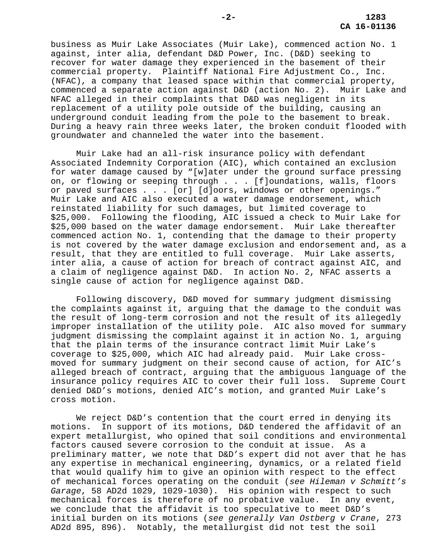business as Muir Lake Associates (Muir Lake), commenced action No. 1 against, inter alia, defendant D&D Power, Inc. (D&D) seeking to recover for water damage they experienced in the basement of their commercial property. Plaintiff National Fire Adjustment Co., Inc. (NFAC), a company that leased space within that commercial property, commenced a separate action against D&D (action No. 2). Muir Lake and NFAC alleged in their complaints that D&D was negligent in its replacement of a utility pole outside of the building, causing an underground conduit leading from the pole to the basement to break. During a heavy rain three weeks later, the broken conduit flooded with groundwater and channeled the water into the basement.

Muir Lake had an all-risk insurance policy with defendant Associated Indemnity Corporation (AIC), which contained an exclusion for water damage caused by "[w]ater under the ground surface pressing on, or flowing or seeping through . . . [f]oundations, walls, floors or paved surfaces . . . [or] [d]oors, windows or other openings." Muir Lake and AIC also executed a water damage endorsement, which reinstated liability for such damages, but limited coverage to \$25,000. Following the flooding, AIC issued a check to Muir Lake for \$25,000 based on the water damage endorsement. Muir Lake thereafter commenced action No. 1, contending that the damage to their property is not covered by the water damage exclusion and endorsement and, as a result, that they are entitled to full coverage. Muir Lake asserts, inter alia, a cause of action for breach of contract against AIC, and a claim of negligence against D&D. In action No. 2, NFAC asserts a single cause of action for negligence against D&D.

Following discovery, D&D moved for summary judgment dismissing the complaints against it, arguing that the damage to the conduit was the result of long-term corrosion and not the result of its allegedly improper installation of the utility pole. AIC also moved for summary judgment dismissing the complaint against it in action No. 1, arguing that the plain terms of the insurance contract limit Muir Lake's coverage to \$25,000, which AIC had already paid. Muir Lake crossmoved for summary judgment on their second cause of action, for AIC's alleged breach of contract, arguing that the ambiguous language of the insurance policy requires AIC to cover their full loss. Supreme Court denied D&D's motions, denied AIC's motion, and granted Muir Lake's cross motion.

We reject D&D's contention that the court erred in denying its motions. In support of its motions, D&D tendered the affidavit of an expert metallurgist, who opined that soil conditions and environmental factors caused severe corrosion to the conduit at issue. As a preliminary matter, we note that D&D's expert did not aver that he has any expertise in mechanical engineering, dynamics, or a related field that would qualify him to give an opinion with respect to the effect of mechanical forces operating on the conduit (*see Hileman v Schmitt's Garage*, 58 AD2d 1029, 1029-1030). His opinion with respect to such mechanical forces is therefore of no probative value. In any event, we conclude that the affidavit is too speculative to meet D&D's initial burden on its motions (*see generally Van Ostberg v Crane*, 273 AD2d 895, 896). Notably, the metallurgist did not test the soil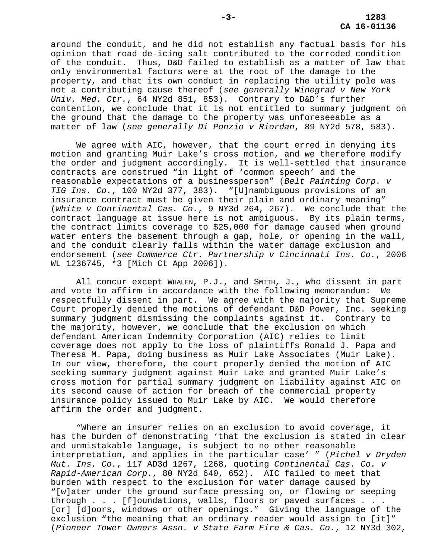around the conduit, and he did not establish any factual basis for his opinion that road de-icing salt contributed to the corroded condition of the conduit. Thus, D&D failed to establish as a matter of law that only environmental factors were at the root of the damage to the property, and that its own conduct in replacing the utility pole was not a contributing cause thereof (*see generally Winegrad v New York Univ. Med. Ctr.*, 64 NY2d 851, 853). Contrary to D&D's further contention, we conclude that it is not entitled to summary judgment on the ground that the damage to the property was unforeseeable as a matter of law (*see generally Di Ponzio v Riordan*, 89 NY2d 578, 583).

We agree with AIC, however, that the court erred in denying its motion and granting Muir Lake's cross motion, and we therefore modify the order and judgment accordingly. It is well-settled that insurance contracts are construed "in light of 'common speech' and the reasonable expectations of a businessperson" (*Belt Painting Corp. v TIG Ins. Co.*, 100 NY2d 377, 383). "[U]nambiguous provisions of an insurance contract must be given their plain and ordinary meaning" (*White v Continental Cas. Co.*, 9 NY3d 264, 267). We conclude that the contract language at issue here is not ambiguous. By its plain terms, the contract limits coverage to \$25,000 for damage caused when ground water enters the basement through a gap, hole, or opening in the wall, and the conduit clearly falls within the water damage exclusion and endorsement (*see Commerce Ctr. Partnership v Cincinnati Ins. Co.*, 2006 WL 1236745, \*3 [Mich Ct App 2006]).

All concur except WHALEN, P.J., and SMITH, J., who dissent in part and vote to affirm in accordance with the following memorandum: We respectfully dissent in part. We agree with the majority that Supreme Court properly denied the motions of defendant D&D Power, Inc. seeking summary judgment dismissing the complaints against it. Contrary to the majority, however, we conclude that the exclusion on which defendant American Indemnity Corporation (AIC) relies to limit coverage does not apply to the loss of plaintiffs Ronald J. Papa and Theresa M. Papa, doing business as Muir Lake Associates (Muir Lake). In our view, therefore, the court properly denied the motion of AIC seeking summary judgment against Muir Lake and granted Muir Lake's cross motion for partial summary judgment on liability against AIC on its second cause of action for breach of the commercial property insurance policy issued to Muir Lake by AIC. We would therefore affirm the order and judgment.

"Where an insurer relies on an exclusion to avoid coverage, it has the burden of demonstrating 'that the exclusion is stated in clear and unmistakable language, is subject to no other reasonable interpretation, and applies in the particular case' " (*Pichel v Dryden Mut. Ins. Co.*, 117 AD3d 1267, 1268, quoting *Continental Cas. Co. v Rapid-American Corp*., 80 NY2d 640, 652). AIC failed to meet that burden with respect to the exclusion for water damage caused by "[w]ater under the ground surface pressing on, or flowing or seeping through . . . [f]oundations, walls, floors or paved surfaces . . . [or] [d]oors, windows or other openings." Giving the language of the exclusion "the meaning that an ordinary reader would assign to [it]" (*Pioneer Tower Owners Assn. v State Farm Fire & Cas. Co.*, 12 NY3d 302,